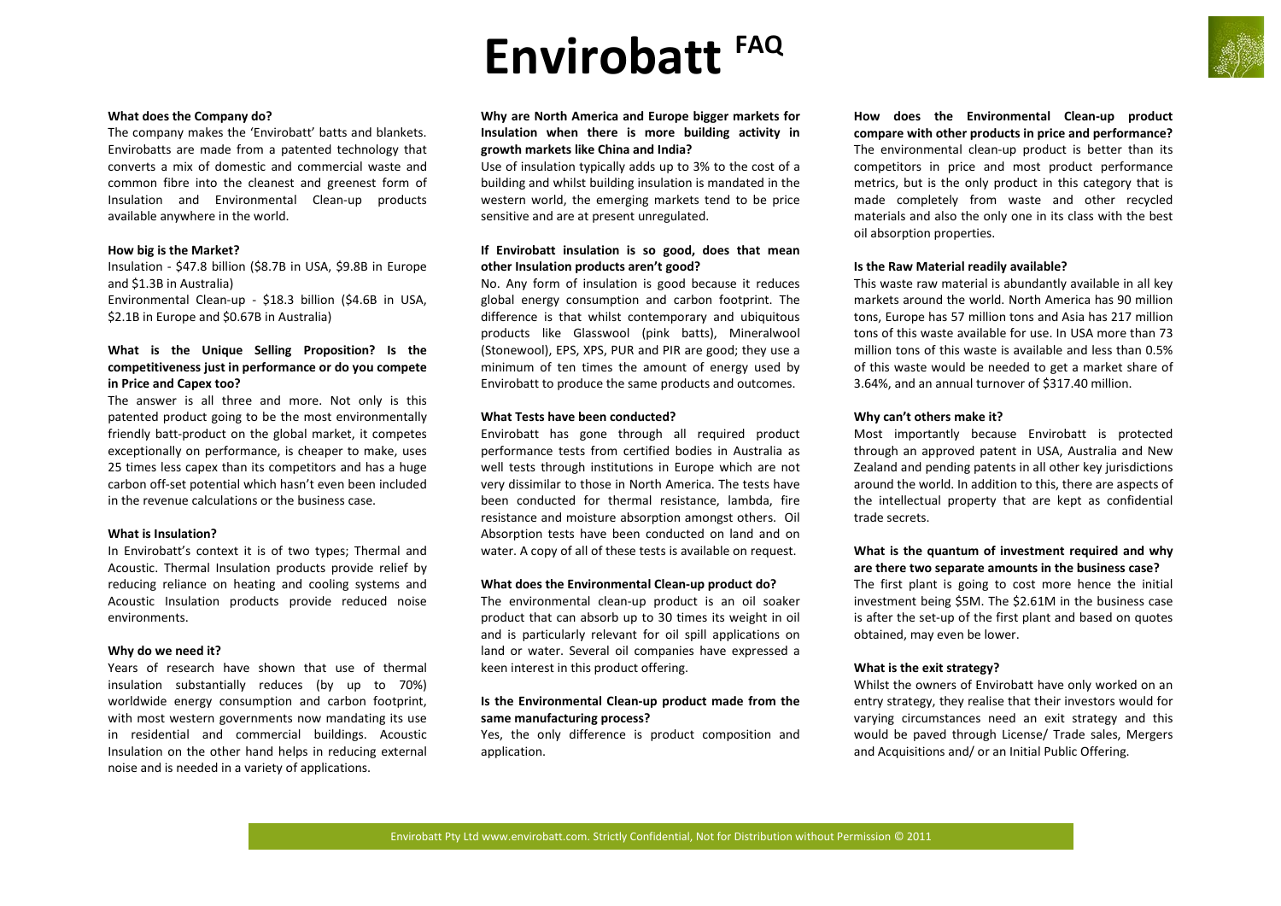# **Envirobatt FAQ**



# **What does the Company do?**

The company makes the 'Envirobatt' batts and blankets. Envirobatts are made from a patented technology that converts a mix of domestic and commercial waste and common fibre into the cleanest and greenest form of Insulation and Environmental Clean-up products available anywhere in the world.

#### **How big is the Market?**

Insulation - \$47.8 billion (\$8.7B in USA, \$9.8B in Europe and \$1.3B in Australia)

Environmental Clean-up - \$18.3 billion (\$4.6B in USA, \$2.1B in Europe and \$0.67B in Australia)

# **What is the Unique Selling Proposition? Is the competitiveness just in performance or do you compete in Price and Capex too?**

The answer is all three and more. Not only is this patented product going to be the most environmentally friendly batt-product on the global market, it competes exceptionally on performance, is cheaper to make, uses 25 times less capex than its competitors and has a huge carbon off-set potential which hasn't even been included in the revenue calculations or the business case.

# **What is Insulation?**

In Envirobatt's context it is of two types; Thermal and Acoustic. Thermal Insulation products provide relief by reducing reliance on heating and cooling systems and Acoustic Insulation products provide reduced noise environments.

#### **Why do we need it?**

Years of research have shown that use of thermal insulation substantially reduces (by up to 70%) worldwide energy consumption and carbon footprint, with most western governments now mandating its use in residential and commercial buildings. Acoustic Insulation on the other hand helps in reducing external noise and is needed in a variety of applications.

**Why are North America and Europe bigger markets for Insulation when there is more building activity in growth markets like China and India?**

Use of insulation typically adds up to 3% to the cost of a building and whilst building insulation is mandated in the western world, the emerging markets tend to be price sensitive and are at present unregulated.

# **If Envirobatt insulation is so good, does that mean other Insulation products aren't good?**

No. Any form of insulation is good because it reduces global energy consumption and carbon footprint. The difference is that whilst contemporary and ubiquitous products like Glasswool (pink batts), Mineralwool (Stonewool), EPS, XPS, PUR and PIR are good; they use a minimum of ten times the amount of energy used by Envirobatt to produce the same products and outcomes.

# **What Tests have been conducted?**

Envirobatt has gone through all required product performance tests from certified bodies in Australia as well tests through institutions in Europe which are not very dissimilar to those in North America. The tests have been conducted for thermal resistance, lambda, fire resistance and moisture absorption amongst others. Oil Absorption tests have been conducted on land and on water. A copy of all of these tests is available on request.

#### **What does the Environmental Clean-up product do?**

The environmental clean-up product is an oil soaker product that can absorb up to 30 times its weight in oil and is particularly relevant for oil spill applications on land or water. Several oil companies have expressed a keen interest in this product offering.

# **Is the Environmental Clean-up product made from the same manufacturing process?**

Yes, the only difference is product composition and application.

**How does the Environmental Clean-up product compare with other products in price and performance?** The environmental clean-up product is better than its competitors in price and most product performance metrics, but is the only product in this category that is made completely from waste and other recycled materials and also the only one in its class with the best oil absorption properties.

# **Is the Raw Material readily available?**

This waste raw material is abundantly available in all key markets around the world. North America has 90 million tons, Europe has 57 million tons and Asia has 217 million tons of this waste available for use. In USA more than 73 million tons of this waste is available and less than 0.5% of this waste would be needed to get a market share of 3.64%, and an annual turnover of \$317.40 million.

# **Why can't others make it?**

Most importantly because Envirobatt is protected through an approved patent in USA, Australia and New Zealand and pending patents in all other key jurisdictions around the world. In addition to this, there are aspects of the intellectual property that are kept as confidential trade secrets.

# **What is the quantum of investment required and why are there two separate amounts in the business case?**

The first plant is going to cost more hence the initial investment being \$5M. The \$2.61M in the business case is after the set-up of the first plant and based on quotes obtained, may even be lower.

# **What is the exit strategy?**

Whilst the owners of Envirobatt have only worked on an entry strategy, they realise that their investors would for varying circumstances need an exit strategy and this would be paved through License/ Trade sales, Mergers and Acquisitions and/ or an Initial Public Offering.